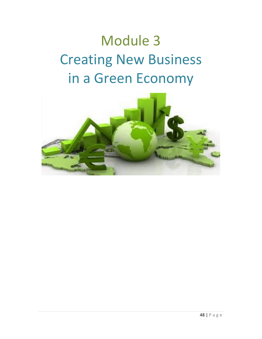# Module 3 Creating New Business in a Green Economy

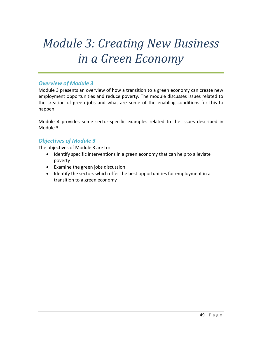# *Module 3: Creating New Business in a Green Economy*

#### *Overview of Module 3*

Module 3 presents an overview of how a transition to a green economy can create new employment opportunities and reduce poverty. The module discusses issues related to the creation of green jobs and what are some of the enabling conditions for this to happen.

Module 4 provides some sector-specific examples related to the issues described in Module 3.

#### *Objectives of Module 3*

The objectives of Module 3 are to:

- Identify specific interventions in a green economy that can help to alleviate poverty
- Examine the green jobs discussion
- Identify the sectors which offer the best opportunities for employment in a transition to a green economy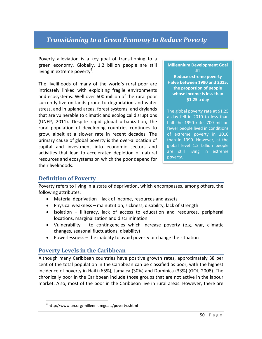# *Transitioning to a Green Economy to Reduce Poverty*

Poverty alleviation is a key goal of transitioning to a green economy. Globally, 1.2 billion people are still living in extreme poverty<sup>4</sup>.

The livelihoods of many of the world's rural poor are intricately linked with exploiting fragile environments and ecosystems. Well over 600 million of the rural poor currently live on lands prone to degradation and water stress, and in upland areas, forest systems, and drylands that are vulnerable to climatic and ecological disruptions (UNEP, 2011). Despite rapid global urbanization, the rural population of developing countries continues to grow, albeit at a slower rate in recent decades. The primary cause of global poverty is the over-allocation of capital and investment into economic sectors and activities that lead to accelerated depletion of natural resources and ecosystems on which the poor depend for their livelihoods.

**Millennium Development Goal #1 Reduce extreme poverty Halve between 1990 and 2015, the proportion of people whose income is less than \$1.25 a day**

The global poverty rate at \$1.25 a day fell in 2010 to less than half the 1990 rate. 700 million fewer people lived in conditions of extreme poverty in 2010 than in 1990. However, at the global level 1.2 billion people are still living in extreme poverty.

# **Definition of Poverty**

 $\overline{\phantom{a}}$ 

Poverty refers to living in a state of deprivation, which encompasses, among others, the following attributes:

- Material deprivation lack of income, resources and assets
- Physical weakness malnutrition, sickness, disability, lack of strength
- Isolation illiteracy, lack of access to education and resources, peripheral locations, marginalization and discrimination
- Vulnerability to contingencies which increase poverty (e.g. war, climatic changes, seasonal fluctuations, disability)
- $\bullet$  Powerlessness the inability to avoid poverty or change the situation

# **Poverty Levels in the Caribbean**

Although many Caribbean countries have positive growth rates, approximately 38 per cent of the total population in the Caribbean can be classified as poor, with the highest incidence of poverty in Haiti (65%), Jamaica (30%) and Dominica (33%) (GOJ, 2008). The chronically poor in the Caribbean include those groups that are not active in the labour market. Also, most of the poor in the Caribbean live in rural areas. However, there are

<sup>4</sup> http://www.un.org/millenniumgoals/poverty.shtml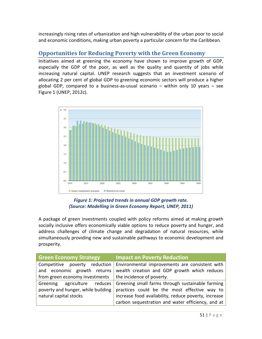increasingly rising rates of urbanization and high vulnerability of the urban poor to social and economic conditions, making urban poverty a particular concern for the Caribbean.

# **Opportunities for Reducing Poverty with the Green Economy**

Initiatives aimed at greening the economy have shown to improve growth of GDP, especially the GDP of the poor, as well as the quality and quantity of jobs while increasing natural capital. UNEP research suggests that an investment scenario of allocating 2 per cent of global GDP to greening economic sectors will produce a higher global GDP, compared to a business-as-usual scenario – within only 10 years – see Figure 1 (UNEP, 2012c).



#### *Figure 1: Projected trends in annual GDP growth rate. (Source: Modelling in Green Economy Report, UNEP, 2011)*

A package of green investments coupled with policy reforms aimed at making growth socially inclusive offers economically viable options to reduce poverty and hunger, and address challenges of climate change and degradation of natural resources, while simultaneously providing new and sustainable pathways to economic development and prosperity.

| <b>Green Economy Strategy</b>                                        | <b>Impact on Poverty Reduction</b>                   |
|----------------------------------------------------------------------|------------------------------------------------------|
| Competitive poverty reduction                                        | Environmental improvements are consistent with       |
| and economic growth returns                                          | wealth creation and GDP growth which reduces         |
| from green economy investments $\parallel$ the incidence of poverty. |                                                      |
| Greening<br>agriculture reduces                                      | Greening small farms through sustainable farming     |
| poverty and hunger, while building                                   | practices could be the most effective way to         |
| natural capital stocks                                               | increase food availability, reduce poverty, increase |
|                                                                      | carbon sequestration and water efficiency, and at    |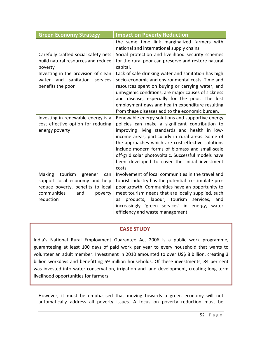| <b>Green Economy Strategy</b>                                                                                                                            | <b>Impact on Poverty Reduction</b>                                                                                                                                                                                                                                                                                                                                                                                                    |
|----------------------------------------------------------------------------------------------------------------------------------------------------------|---------------------------------------------------------------------------------------------------------------------------------------------------------------------------------------------------------------------------------------------------------------------------------------------------------------------------------------------------------------------------------------------------------------------------------------|
|                                                                                                                                                          | the same time link marginalized farmers with<br>national and international supply chains.                                                                                                                                                                                                                                                                                                                                             |
| Carefully crafted social safety nets<br>build natural resources and reduce<br>poverty                                                                    | Social protection and livelihood security schemes<br>for the rural poor can preserve and restore natural<br>capital.                                                                                                                                                                                                                                                                                                                  |
| Investing in the provision of clean<br>water and<br>sanitation services<br>benefits the poor                                                             | Lack of safe drinking water and sanitation has high<br>socio-economic and environmental costs. Time and<br>resources spent on buying or carrying water, and<br>unhygienic conditions, are major causes of sickness<br>and disease, especially for the poor. The lost<br>employment days and health expenditure resulting<br>from these diseases add to the economic burden.                                                           |
| Investing in renewable energy is a<br>cost effective option for reducing<br>energy poverty                                                               | Renewable energy solutions and supportive energy<br>policies can make a significant contribution to<br>improving living standards and health in low-<br>income areas, particularly in rural areas. Some of<br>the approaches which are cost effective solutions<br>include modern forms of biomass and small-scale<br>off-grid solar photovoltaic. Successful models have<br>been developed to cover the initial investment<br>costs. |
| tourism<br>Making<br>greener<br>can<br>support local economy and help<br>reduce poverty. benefits to local<br>communities<br>and<br>poverty<br>reduction | Involvement of local communities in the travel and<br>tourist industry has the potential to stimulate pro-<br>poor growth. Communities have an opportunity to<br>meet tourism needs that are locally supplied, such<br>products, labour, tourism<br>services,<br>and<br>as<br>increasingly 'green services' in energy, water<br>efficiency and waste management.                                                                      |

#### **CASE STUDY**

India's National Rural Employment Guarantee Act 2006 is a public work programme, guaranteeing at least 100 days of paid work per year to every household that wants to volunteer an adult member. Investment in 2010 amounted to over US\$ 8 billion, creating 3 billion workdays and benefitting 59 million households. Of these investments, 84 per cent was invested into water conservation, irrigation and land development, creating long-term livelihood opportunities for farmers.

However, it must be emphasised that moving towards a green economy will not automatically address all poverty issues. A focus on poverty reduction must be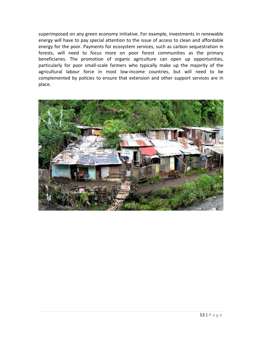superimposed on any green economy initiative. For example, investments in renewable energy will have to pay special attention to the issue of access to clean and affordable energy for the poor. Payments for ecosystem services, such as carbon sequestration in forests, will need to focus more on poor forest communities as the primary beneficiaries. The promotion of organic agriculture can open up opportunities, particularly for poor small-scale farmers who typically make up the majority of the agricultural labour force in most low-income countries, but will need to be complemented by policies to ensure that extension and other support services are in place.

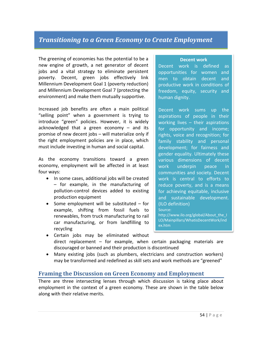# *Transitioning to a Green Economy to Create Employment*

The greening of economies has the potential to be a new engine of growth, a net generator of decent jobs and a vital strategy to eliminate persistent poverty. Decent, green jobs effectively link Millennium Development Goal 1 (poverty reduction) and Millennium Development Goal 7 (protecting the environment) and make them mutually supportive.

Increased job benefits are often a main political "selling point" when a government is trying to introduce "green" policies. However, it is widely acknowledged that a green economy – and its promise of new decent jobs – will materialize only if the right employment policies are in place, which must include investing in human and social capital.

As the economy transitions toward a green economy, employment will be affected in at least four ways:

- In some cases, additional jobs will be created – for example, in the manufacturing of pollution-control devices added to existing production equipment
- Some employment will be substituted for example, shifting from fossil fuels to renewables, from truck manufacturing to rail car manufacturing, or from landfilling to recycling

#### **Decent work**

Decent work is defined as opportunities for women and men to obtain decent and productive work in conditions of freedom, equity, security and human dignity.

Decent work sums up the aspirations of people in their working lives – their aspirations for opportunity and income; rights, voice and recognition; for family stability and personal development; for fairness and gender equality. Ultimately these various dimensions of decent work underpin peace in communities and society. Decent work is central to efforts to reduce poverty, and is a means for achieving equitable, inclusive and sustainable development. (ILO definition) Source:

http://www.ilo.org/global/About\_the\_I LO/Mainpillars/WhatisDecentWork/ind ex.htm

- Certain jobs may be eliminated without direct replacement – for example, when certain packaging materials are discouraged or banned and their production is discontinued
- Many existing jobs (such as plumbers, electricians and construction workers) may be transformed and redefined as skill sets and work methods are "greened"

#### **Framing the Discussion on Green Economy and Employment**

There are three intersecting lenses through which discussion is taking place about employment in the context of a green economy. These are shown in the table below along with their relative merits.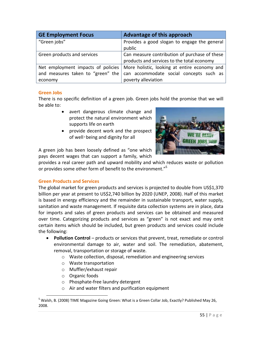| <b>GE Employment Focus</b>         | Advantage of this approach                             |
|------------------------------------|--------------------------------------------------------|
| "Green jobs"                       | Provides a good slogan to engage the general<br>public |
| Green products and services        | Can measure contribution of purchase of these          |
|                                    | products and services to the total economy             |
| Net employment impacts of policies | More holistic, looking at entire economy and           |
| and measures taken to "green" the  | can accommodate social concepts such as                |
| economy                            | poverty alleviation                                    |

#### **Green Jobs**

There is no specific definition of a green job. Green jobs hold the promise that we will be able to:

- avert dangerous climate change and protect the natural environment which supports life on earth
- provide decent work and the prospect of well‑being and dignity for all



A green job has been loosely defined as "one which pays decent wages that can support a family, which

provides a real career path and upward mobility and which reduces waste or pollution or provides some other form of benefit to the environment."<sup>5</sup>

#### **Green Products and Services**

The global market for green products and services is projected to double from US\$1,370 billion per year at present to US\$2,740 billion by 2020 (UNEP, 2008). Half of this market is based in energy efficiency and the remainder in sustainable transport, water supply, sanitation and waste management. If requisite data collection systems are in place, data for imports and sales of green products and services can be obtained and measured over time. Categorizing products and services as "green" is not exact and may omit certain items which should be included, but green products and services could include the following:

- **Pollution Control** products or services that prevent, treat, remediate or control environmental damage to air, water and soil. The remediation, abatement, removal, transportation or storage of waste.
	- o Waste collection, disposal, remediation and engineering services
	- o Waste transportation
	- o Muffler/exhaust repair
	- o Organic foods
	- o Phosphate-free laundry detergent
	- o Air and water filters and purification equipment

l <sup>5</sup> Walsh, B. (2008) TIME Magazine Going Green: What is a Green Collar Job, Exactly? Published May 26, 2008.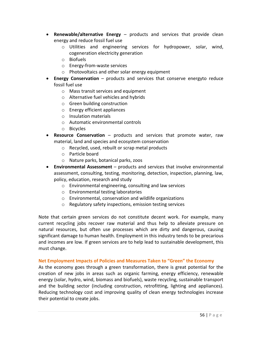- **Renewable/alternative Energy** products and services that provide clean energy and reduce fossil fuel use
	- o Utilities and engineering services for hydropower, solar, wind, cogeneration electricity generation
	- o Biofuels
	- o Energy-from-waste services
	- o Photovoltaics and other solar energy equipment
- **Energy Conservation** products and services that conserve energyto reduce fossil fuel use
	- o Mass transit services and equipment
	- o Alternative fuel vehicles and hybrids
	- o Green building construction
	- o Energy efficient appliances
	- o Insulation materials
	- o Automatic environmental controls
	- o Bicycles
- **Resource Conservation** products and services that promote water, raw material, land and species and ecosystem conservation
	- o Recycled, used, rebuilt or scrap metal products
	- o Particle board
	- o Nature parks, botanical parks, zoos
- **Environmental Assessment** products and services that involve environmental assessment, consulting, testing, monitoring, detection, inspection, planning, law, policy, education, research and study
	- o Environmental engineering, consulting and law services
	- o Environmental testing laboratories
	- o Environmental, conservation and wildlife organizations
	- o Regulatory safety inspections, emission testing services

Note that certain green services do not constitute decent work. For example, many current recycling jobs recover raw material and thus help to alleviate pressure on natural resources, but often use processes which are dirty and dangerous, causing significant damage to human health. Employment in this industry tends to be precarious and incomes are low. If green services are to help lead to sustainable development, this must change.

#### **Net Employment Impacts of Policies and Measures Taken to "Green" the Economy**

As the economy goes through a green transformation, there is great potential for the creation of new jobs in areas such as organic farming, energy efficiency, renewable energy (solar, hydro, wind, biomass and biofuels), waste recycling, sustainable transport and the building sector (including construction, retrofitting, lighting and appliances). Reducing technology cost and improving quality of clean energy technologies increase their potential to create jobs.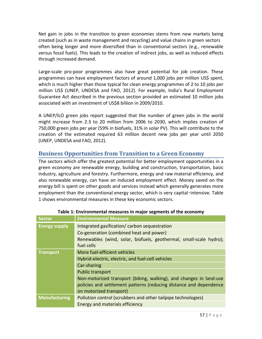Net gain in jobs in the transition to green economies stems from new markets being created (such as in waste management and recycling) and value chains in green sectors often being longer and more diversified than in conventional sectors (e.g., renewable versus fossil fuels). This leads to the creation of indirect jobs, as well as induced effects through increased demand.

Large-scale pro-poor programmes also have great potential for job creation. These programmes can have employment factors of around 1,000 jobs per million US\$ spent, which is much higher than those typical for clean energy programmes of 2 to 10 jobs per million US\$ (UNEP, UNDESA and FAO, 2012). For example, India's Rural Employment Guarantee Act described in the previous section provided an estimated 10 million jobs associated with an investment of US\$8 billion in 2009/2010.

A UNEP/ILO green jobs report suggested that the number of green jobs in the world might increase from 2.3 to 20 million from 2006 to 2030, which implies creation of 750,000 green jobs per year (59% in biofuels, 31% in solar PV). This will contribute to the creation of the estimated required 63 million decent new jobs per year until 2050 (UNEP, UNDESA and FAO, 2012).

# **Business Opportunities from Transition to a Green Economy**

The sectors which offer the greatest potential for better employment opportunities in a green economy are renewable energy, building and construction, transportation, basic industry, agriculture and forestry. Furthermore, energy and raw material efficiency, and also renewable energy, can have an induced employment effect. Money saved on the energy bill is spent on other goods and services instead which generally generates more employment than the conventional energy sector, which is very capital-intensive. Table 1 shows environmental measures in these key economic sectors.

| <b>Sector</b>        | <b>Environmental Measure</b>                                       |
|----------------------|--------------------------------------------------------------------|
| <b>Energy supply</b> | Integrated gasification/ carbon sequestration                      |
|                      | Co-generation (combined heat and power)                            |
|                      | Renewables (wind, solar, biofuels, geothermal, small-scale hydro); |
|                      | fuel cells                                                         |
| <b>Transport</b>     | More fuel-efficient vehicles                                       |
|                      | Hybrid-electric, electric, and fuel-cell vehicles                  |
|                      | Car-sharing                                                        |
|                      | <b>Public transport</b>                                            |
|                      | Non-motorized transport (biking, walking), and changes in land-use |
|                      | policies and settlement patterns (reducing distance and dependence |
|                      | on motorized transport)                                            |
| <b>Manufacturing</b> | Pollution control (scrubbers and other tailpipe technologies)      |
|                      | Energy and materials efficiency                                    |

#### **Table 1: Environmental measures in major segments of the economy**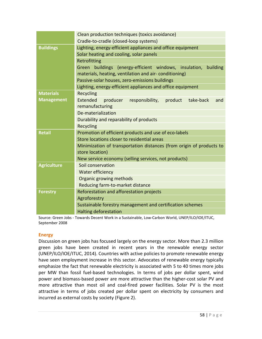|                    | Clean production techniques (toxics avoidance)                         |  |
|--------------------|------------------------------------------------------------------------|--|
|                    | Cradle-to-cradle (closed-loop systems)                                 |  |
| <b>Buildings</b>   | Lighting, energy-efficient appliances and office equipment             |  |
|                    | Solar heating and cooling, solar panels                                |  |
|                    | Retrofitting                                                           |  |
|                    | Green buildings (energy-efficient windows, insulation, building        |  |
|                    | materials, heating, ventilation and air-conditioning)                  |  |
|                    | Passive-solar houses, zero-emissions buildings                         |  |
|                    | Lighting, energy-efficient appliances and office equipment             |  |
| <b>Materials</b>   | Recycling                                                              |  |
| <b>Management</b>  | Extended<br>take-back<br>producer<br>responsibility,<br>product<br>and |  |
|                    | remanufacturing                                                        |  |
|                    | De-materialization                                                     |  |
|                    | Durability and reparability of products                                |  |
|                    | <b>Recycling</b>                                                       |  |
| <b>Retail</b>      | Promotion of efficient products and use of eco-labels                  |  |
|                    | Store locations closer to residential areas                            |  |
|                    | Minimization of transportation distances (from origin of products to   |  |
|                    | store location)                                                        |  |
|                    | New service economy (selling services, not products)                   |  |
| <b>Agriculture</b> | Soil conservation                                                      |  |
|                    | Water efficiency                                                       |  |
|                    | Organic growing methods                                                |  |
|                    | Reducing farm-to-market distance                                       |  |
| <b>Forestry</b>    | Reforestation and afforestation projects                               |  |
|                    | Agroforestry                                                           |  |
|                    | Sustainable forestry management and certification schemes              |  |
|                    | <b>Halting deforestation</b>                                           |  |

Source: Green Jobs - Towards Decent Work in a Sustainable, Low-Carbon World, UNEP/ILO/IOE/ITUC, September 2008

#### **Energy**

Discussion on green jobs has focused largely on the energy sector. More than 2.3 million green jobs have been created in recent years in the renewable energy sector (UNEP/ILO/IOE/ITUC, 2014). Countries with active policies to promote renewable energy have seen employment increase in this sector. Advocates of renewable energy typically emphasize the fact that renewable electricity is associated with 5 to 40 times more jobs per MW than fossil fuel-based technologies. In terms of jobs per dollar spent, wind power and biomass‐based power are more attractive than the higher-cost solar PV and more attractive than most oil and coal-fired power facilities. Solar PV is the most attractive in terms of jobs created per dollar spent on electricity by consumers and incurred as external costs by society (Figure 2).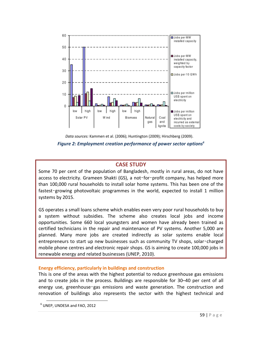



#### **CASE STUDY**

Some 70 per cent of the population of Bangladesh, mostly in rural areas, do not have access to electricity. Grameen Shakti (GS), a not-for-profit company, has helped more than 100,000 rural households to install solar home systems. This has been one of the fastest-growing photovoltaic programmes in the world, expected to install 1 million systems by 2015.

GS operates a small loans scheme which enables even very poor rural households to buy a system without subsidies. The scheme also creates local jobs and income opportunities. Some 660 local youngsters and women have already been trained as certified technicians in the repair and maintenance of PV systems. Another 5,000 are planned. Many more jobs are created indirectly as solar systems enable local entrepreneurs to start up new businesses such as community TV shops, solar-charged mobile phone centres and electronic repair shops. GS is aiming to create 100,000 jobs in renewable energy and related businesses (UNEP, 2010).

#### **Energy efficiency, particularly in buildings and construction**

This is one of the areas with the highest potential to reduce greenhouse gas emissions and to create jobs in the process. Buildings are responsible for 30–40 per cent of all energy use, greenhouse-gas emissions and waste generation. The construction and renovation of buildings also represents the sector with the highest technical and

 $\overline{\phantom{a}}$ 

<sup>6</sup> UNEP, UNDESA and FAO, 2012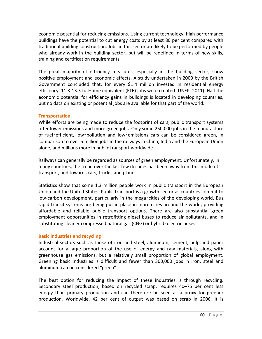economic potential for reducing emissions. Using current technology, high performance buildings have the potential to cut energy costs by at least 80 per cent compared with traditional building construction. Jobs in this sector are likely to be performed by people who already work in the building sector, but will be redefined in terms of new skills, training and certification requirements.

The great majority of efficiency measures, especially in the building sector, show positive employment and economic effects. A study undertaken in 2000 by the British Government concluded that, for every \$1.4 million invested in residential energy efficiency, 11.3-13.5 full-time equivalent (FTE) jobs were created (UNEP, 2011). Half the economic potential for efficiency gains in buildings is located in developing countries, but no data on existing or potential jobs are available for that part of the world.

#### **Transportation**

While efforts are being made to reduce the footprint of cars, public transport systems offer lower emissions and more green jobs. Only some 250,000 jobs in the manufacture of fuel‑efficient, low‑pollution and low‑emissions cars can be considered green, in comparison to over 5 million jobs in the railways in China, India and the European Union alone, and millions more in public transport worldwide.

Railways can generally be regarded as sources of green employment. Unfortunately, in many countries, the trend over the last few decades has been away from this mode of transport, and towards cars, trucks, and planes.

Statistics show that some 1.3 million people work in public transport in the European Union and the United States. Public transport is a growth sector as countries commit to low-carbon development, particularly in the mega-cities of the developing world. Bus rapid transit systems are being put in place in more cities around the world, providing affordable and reliable public transport options. There are also substantial green employment opportunities in retrofitting diesel buses to reduce air pollutants, and in substituting cleaner compressed natural gas (CNG) or hybrid-electric buses.

#### **Basic industries and recycling**

Industrial sectors such as those of iron and steel, aluminum, cement, pulp and paper account for a large proportion of the use of energy and raw materials, along with greenhouse gas emissions, but a relatively small proportion of global employment. Greening basic industries is difficult and fewer than 300,000 jobs in iron, steel and aluminum can be considered "green".

The best option for reducing the impact of these industries is through recycling. Secondary steel production, based on recycled scrap, requires 40–75 per cent less energy than primary production and can therefore be seen as a proxy for greener production. Worldwide, 42 per cent of output was based on scrap in 2006. It is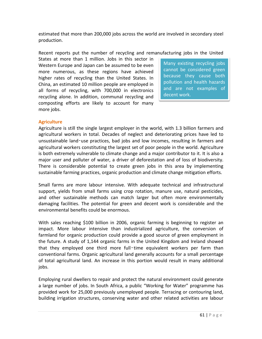estimated that more than 200,000 jobs across the world are involved in secondary steel production.

Recent reports put the number of recycling and remanufacturing jobs in the United

States at more than 1 million. Jobs in this sector in Western Europe and Japan can be assumed to be even more numerous, as these regions have achieved higher rates of recycling than the United States. In China, an estimated 10 million people are employed in all forms of recycling, with 700,000 in electronics recycling alone. In addition, communal recycling and composting efforts are likely to account for many more jobs.

Many existing recycling jobs cannot be considered green because they cause both pollution and health hazards and are not examples of decent work.

#### **Agriculture**

Agriculture is still the single largest employer in the world, with 1.3 billion farmers and agricultural workers in total. Decades of neglect and deteriorating prices have led to unsustainable land‑use practices, bad jobs and low incomes, resulting in farmers and agricultural workers constituting the largest set of poor people in the world. Agriculture is both extremely vulnerable to climate change and a major contributor to it. It is also a major user and polluter of water, a driver of deforestation and of loss of biodiversity. There is considerable potential to create green jobs in this area by implementing sustainable farming practices, organic production and climate change mitigation efforts.

Small farms are more labour intensive. With adequate technical and infrastructural support, yields from small farms using crop rotation, manure use, natural pesticides, and other sustainable methods can match larger but often more environmentally damaging facilities. The potential for green and decent work is considerable and the environmental benefits could be enormous.

With sales reaching \$100 billion in 2006, organic farming is beginning to register an impact. More labour intensive than industrialized agriculture, the conversion of farmland for organic production could provide a good source of green employment in the future. A study of 1,144 organic farms in the United Kingdom and Ireland showed that they employed one third more full-time equivalent workers per farm than conventional farms. Organic agricultural land generally accounts for a small percentage of total agricultural land. An increase in this portion would result in many additional jobs.

Employing rural dwellers to repair and protect the natural environment could generate a large number of jobs. In South Africa, a public "Working for Water" programme has provided work for 25,000 previously unemployed people. Terracing or contouring land, building irrigation structures, conserving water and other related activities are labour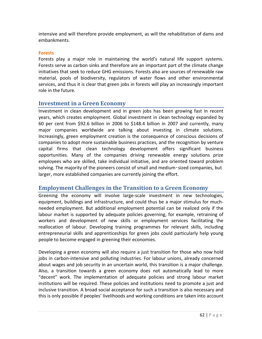intensive and will therefore provide employment, as will the rehabilitation of dams and embankments.

#### **Forests**

Forests play a major role in maintaining the world's natural life support systems. Forests serve as carbon sinks and therefore are an important part of the climate change initiatives that seek to reduce GHG emissions. Forests also are sources of renewable raw material, pools of biodiversity, regulators of water flows and other environmental services, and thus it is clear that green jobs in forests will play an increasingly important role in the future.

## **Investment in a Green Economy**

Investment in clean development and in green jobs has been growing fast in recent years, which creates employment. Global investment in clean technology expanded by 60 per cent from \$92.6 billion in 2006 to \$148.4 billion in 2007 and currently, many major companies worldwide are talking about investing in climate solutions. Increasingly, green employment creation is the consequence of conscious decisions of companies to adopt more sustainable business practices, and the recognition by venture capital firms that clean technology development offers significant business opportunities. Many of the companies driving renewable energy solutions prize employees who are skilled, take individual initiative, and are oriented toward problem solving. The majority of the pioneers consist of small and medium-sized companies, but larger, more established companies are currently joining the effort.

## **Employment Challenges in the Transition to a Green Economy**

Greening the economy will involve large-scale investment in new technologies, equipment, buildings and infrastructure, and could thus be a major stimulus for muchneeded employment. But additional employment potential can be realized only if the labour market is supported by adequate policies governing, for example, retraining of workers and development of new skills or employment services facilitating the reallocation of labour. Developing training programmes for relevant skills, including entrepreneurial skills and apprenticeships for green jobs could particularly help young people to become engaged in greening their economies.

Developing a green economy will also require a just transition for those who now hold jobs in carbon-intensive and polluting industries. For labour unions, already concerned about wages and job security in an uncertain world, this transition is a major challenge. Also, a transition towards a green economy does not automatically lead to more "decent" work. The implementation of adequate policies and strong labour market institutions will be required. These policies and institutions need to promote a just and inclusive transition. A broad social acceptance for such a transition is also necessary and this is only possible if peoples' livelihoods and working conditions are taken into account